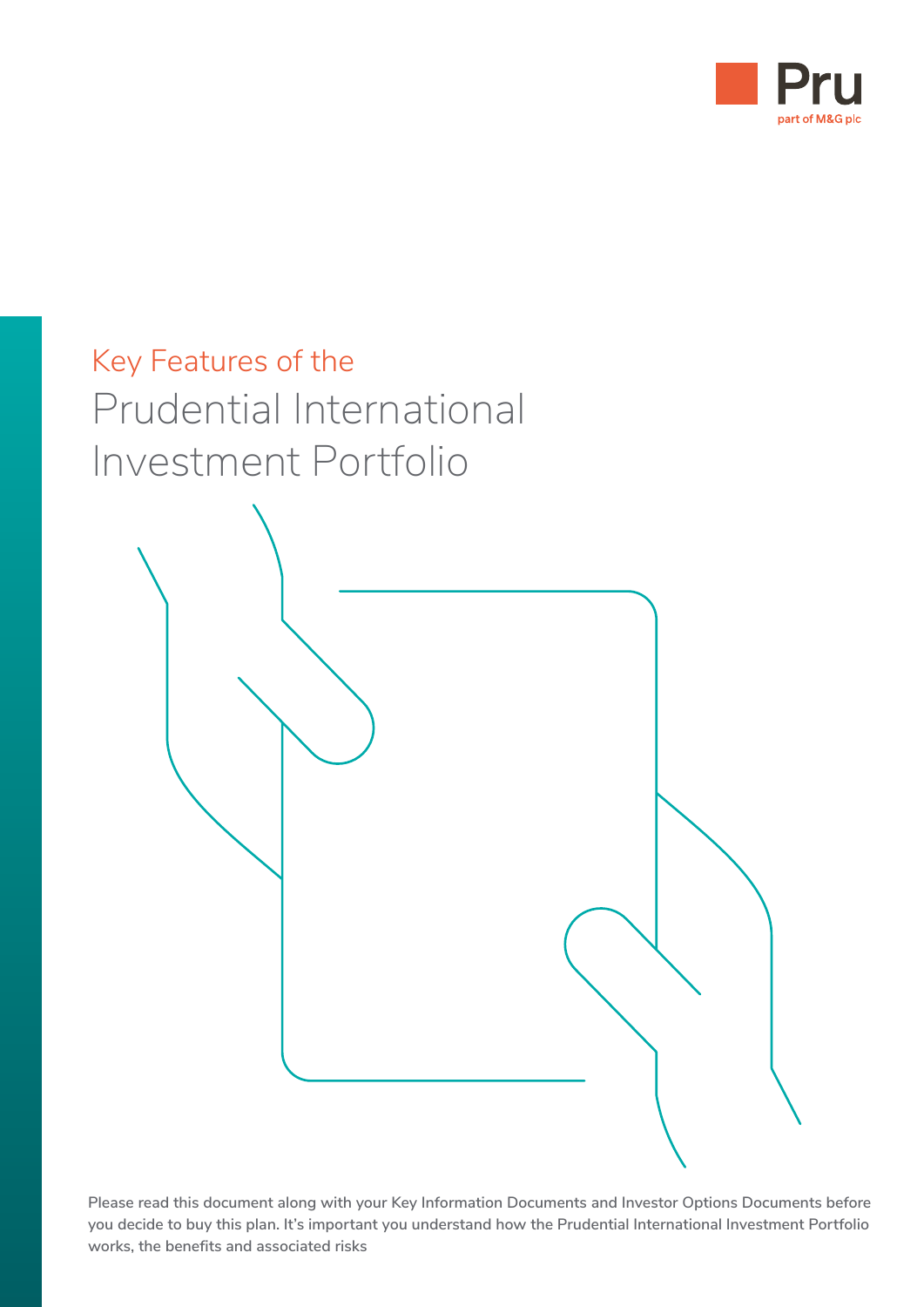



**Please read this document along with your Key Information Documents and Investor Options Documents before you decide to buy this plan. It's important you understand how the Prudential International Investment Portfolio works, the benefits and associated risks**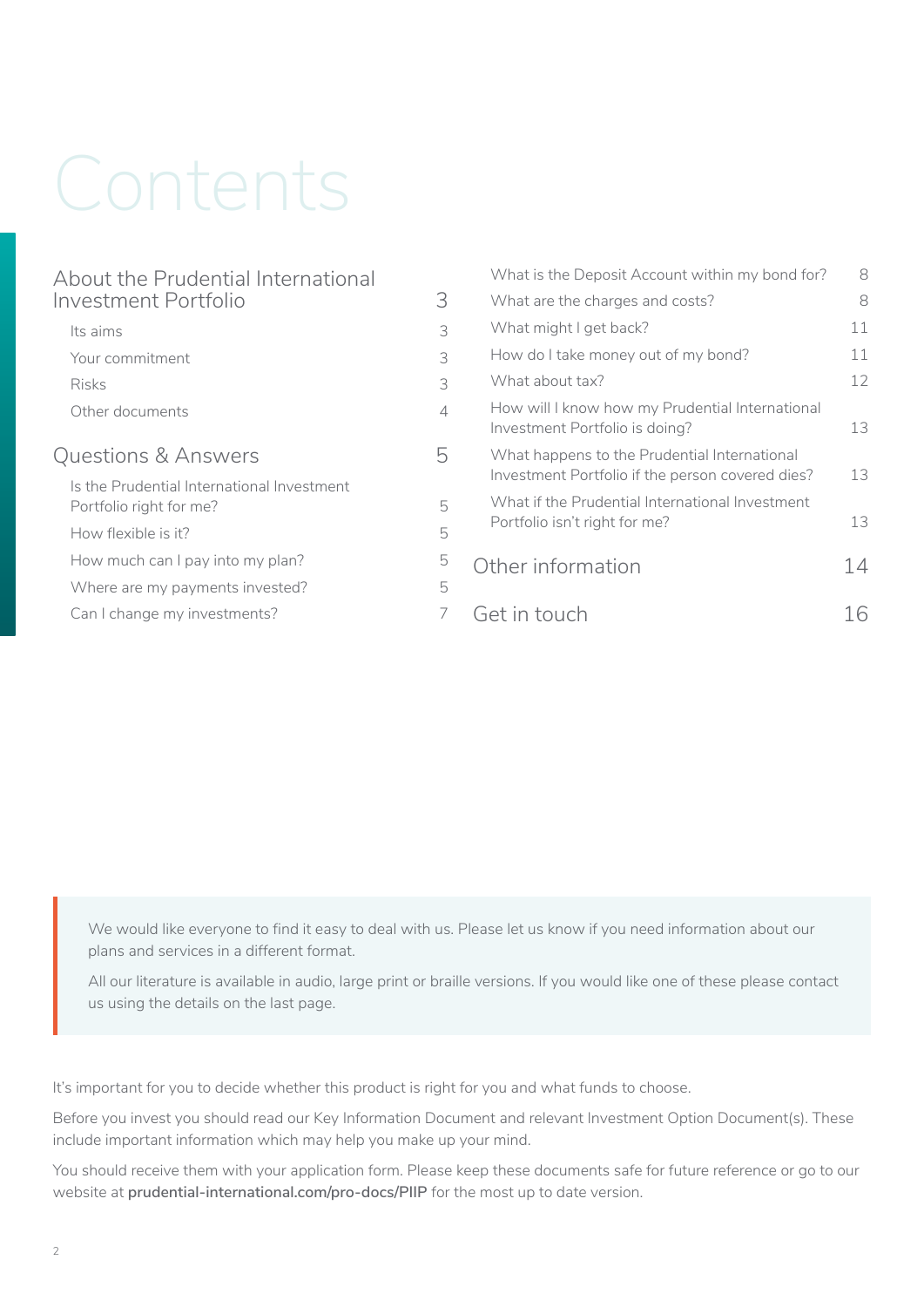# Contents

|                                            | What is the Deposit Account within my bond for?                                   | 8                                                                                                                        |
|--------------------------------------------|-----------------------------------------------------------------------------------|--------------------------------------------------------------------------------------------------------------------------|
| 3                                          | What are the charges and costs?                                                   | 8                                                                                                                        |
| 3                                          | What might I get back?                                                            | 11                                                                                                                       |
| 3                                          | How do I take money out of my bond?                                               | 11                                                                                                                       |
| 3                                          | What about tax?                                                                   | 12                                                                                                                       |
| $\Delta$                                   | How will I know how my Prudential International<br>Investment Portfolio is doing? | 13                                                                                                                       |
| 5                                          | What happens to the Prudential International                                      |                                                                                                                          |
| Is the Prudential International Investment |                                                                                   | 13                                                                                                                       |
| 5                                          | Portfolio isn't right for me?                                                     | 13                                                                                                                       |
| 5                                          |                                                                                   |                                                                                                                          |
| 5                                          |                                                                                   | 14                                                                                                                       |
| 5                                          |                                                                                   |                                                                                                                          |
|                                            | Get in touch                                                                      | 16                                                                                                                       |
|                                            |                                                                                   | Investment Portfolio if the person covered dies?<br>What if the Prudential International Investment<br>Other information |

We would like everyone to find it easy to deal with us. Please let us know if you need information about our plans and services in a different format.

All our literature is available in audio, large print or braille versions. If you would like one of these please contact us using the details on the last page.

It's important for you to decide whether this product is right for you and what funds to choose.

Before you invest you should read our Key Information Document and relevant Investment Option Document(s). These include important information which may help you make up your mind.

You should receive them with your application form. Please keep these documents safe for future reference or go to our website at **[prudential-international.com/pro-docs/PIIP](http://www.prudential-international.com/pro-docs/PIIP)** for the most up to date version.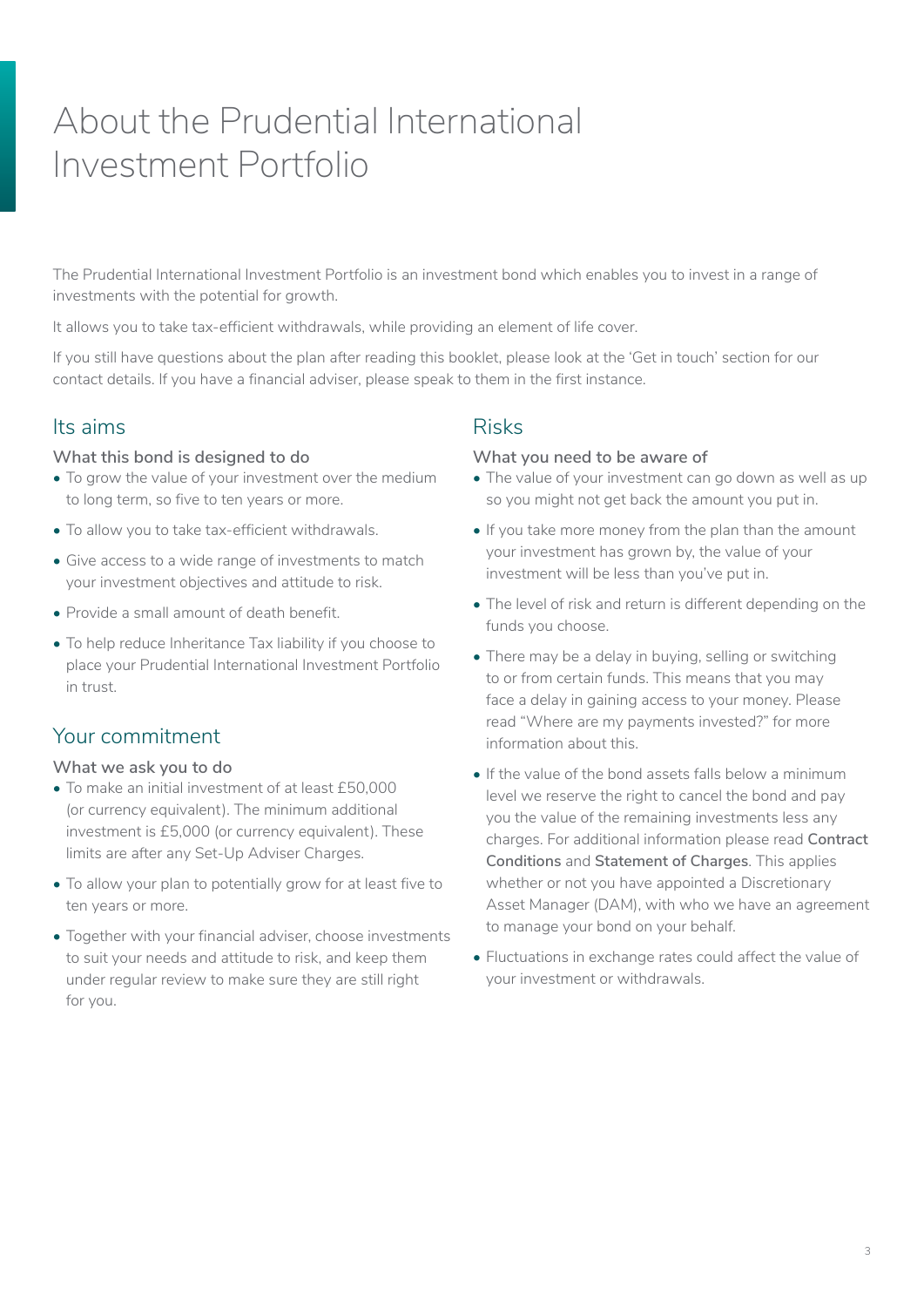# <span id="page-2-0"></span>About the Prudential International Investment Portfolio

The Prudential International Investment Portfolio is an investment bond which enables you to invest in a range of investments with the potential for growth.

It allows you to take tax-efficient withdrawals, while providing an element of life cover.

If you still have questions about the plan after reading this booklet, please look at the 'Get in touch' section for our contact details. If you have a financial adviser, please speak to them in the first instance.

## Its aims

#### **What this bond is designed to do**

- To grow the value of your investment over the medium to long term, so five to ten years or more.
- To allow you to take tax-efficient withdrawals.
- Give access to a wide range of investments to match your investment objectives and attitude to risk.
- Provide a small amount of death benefit.
- To help reduce Inheritance Tax liability if you choose to place your Prudential International Investment Portfolio in trust.

## Your commitment

#### **What we ask you to do**

- To make an initial investment of at least £50,000 (or currency equivalent). The minimum additional investment is £5,000 (or currency equivalent). These limits are after any Set-Up Adviser Charges.
- To allow your plan to potentially grow for at least five to ten years or more.
- Together with your financial adviser, choose investments to suit your needs and attitude to risk, and keep them under regular review to make sure they are still right for you.

## Risks

#### **What you need to be aware of**

- The value of your investment can go down as well as up so you might not get back the amount you put in.
- If you take more money from the plan than the amount your investment has grown by, the value of your investment will be less than you've put in.
- The level of risk and return is different depending on the funds you choose.
- There may be a delay in buying, selling or switching to or from certain funds. This means that you may face a delay in gaining access to your money. Please read "Where are my payments invested?" for more information about this.
- If the value of the bond assets falls below a minimum level we reserve the right to cancel the bond and pay you the value of the remaining investments less any charges. For additional information please read **Contract Conditions** and **Statement of Charges**. This applies whether or not you have appointed a Discretionary Asset Manager (DAM), with who we have an agreement to manage your bond on your behalf.
- Fluctuations in exchange rates could affect the value of your investment or withdrawals.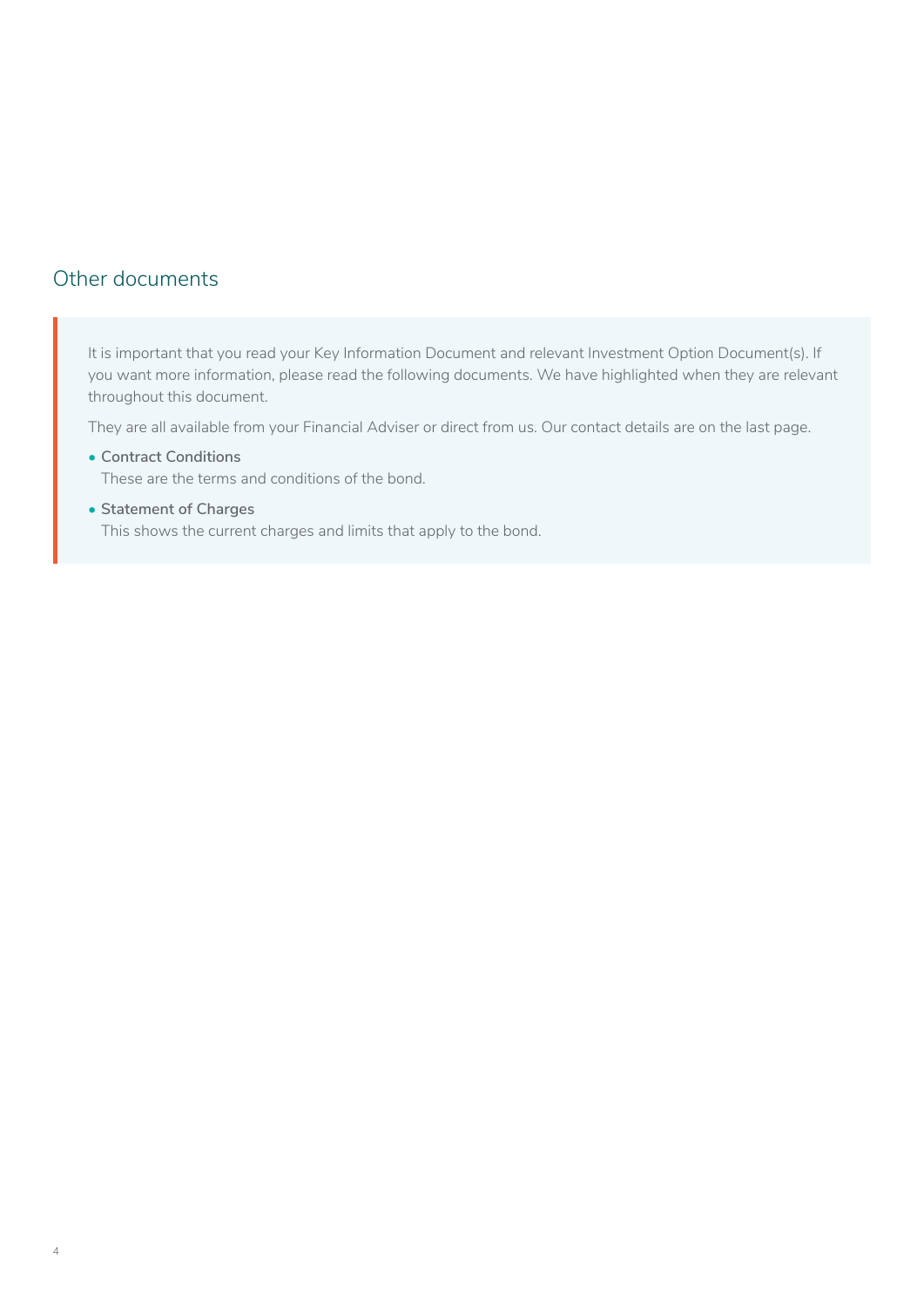## <span id="page-3-0"></span>Other documents

It is important that you read your Key Information Document and relevant Investment Option Document(s). If you want more information, please read the following documents. We have highlighted when they are relevant throughout this document.

They are all available from your Financial Adviser or direct from us. Our contact details are on the last page.

- **Contract Conditions** These are the terms and conditions of the bond.
- **Statement of Charges** This shows the current charges and limits that apply to the bond.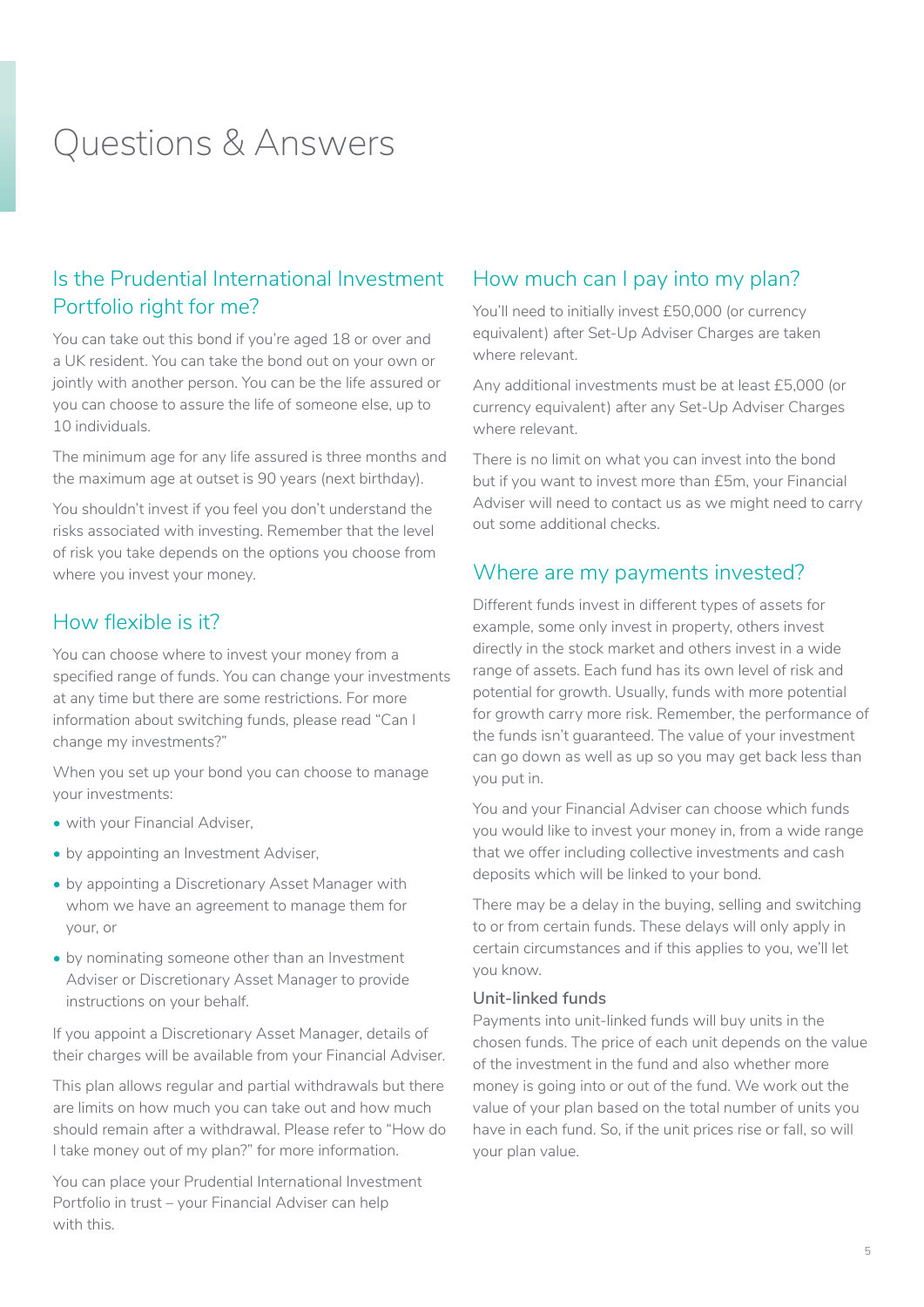## <span id="page-4-0"></span>Questions & Answers

## Is the Prudential International Investment Portfolio right for me?

You can take out this bond if you're aged 18 or over and a UK resident. You can take the bond out on your own or jointly with another person. You can be the life assured or you can choose to assure the life of someone else, up to 10 individuals.

The minimum age for any life assured is three months and the maximum age at outset is 90 years (next birthday).

You shouldn't invest if you feel you don't understand the risks associated with investing. Remember that the level of risk you take depends on the options you choose from where you invest your money.

## How flexible is it?

You can choose where to invest your money from a specified range of funds. You can change your investments at any time but there are some restrictions. For more information about switching funds, please read "Can I change my investments?"

When you set up your bond you can choose to manage your investments:

- with your Financial Adviser,
- by appointing an Investment Adviser,
- by appointing a Discretionary Asset Manager with whom we have an agreement to manage them for your, or
- by nominating someone other than an Investment Adviser or Discretionary Asset Manager to provide instructions on your behalf.

If you appoint a Discretionary Asset Manager, details of their charges will be available from your Financial Adviser.

This plan allows regular and partial withdrawals but there are limits on how much you can take out and how much should remain after a withdrawal. Please refer to "How do I take money out of my plan?" for more information.

You can place your Prudential International Investment Portfolio in trust – your Financial Adviser can help with this.

## How much can I pay into my plan?

You'll need to initially invest £50,000 (or currency equivalent) after Set-Up Adviser Charges are taken where relevant.

Any additional investments must be at least £5,000 (or currency equivalent) after any Set-Up Adviser Charges where relevant.

There is no limit on what you can invest into the bond but if you want to invest more than £5m, your Financial Adviser will need to contact us as we might need to carry out some additional checks.

## Where are my payments invested?

Different funds invest in different types of assets for example, some only invest in property, others invest directly in the stock market and others invest in a wide range of assets. Each fund has its own level of risk and potential for growth. Usually, funds with more potential for growth carry more risk. Remember, the performance of the funds isn't guaranteed. The value of your investment can go down as well as up so you may get back less than you put in.

You and your Financial Adviser can choose which funds you would like to invest your money in, from a wide range that we offer including collective investments and cash deposits which will be linked to your bond.

There may be a delay in the buying, selling and switching to or from certain funds. These delays will only apply in certain circumstances and if this applies to you, we'll let you know.

#### **Unit-linked funds**

Payments into unit-linked funds will buy units in the chosen funds. The price of each unit depends on the value of the investment in the fund and also whether more money is going into or out of the fund. We work out the value of your plan based on the total number of units you have in each fund. So, if the unit prices rise or fall, so will your plan value.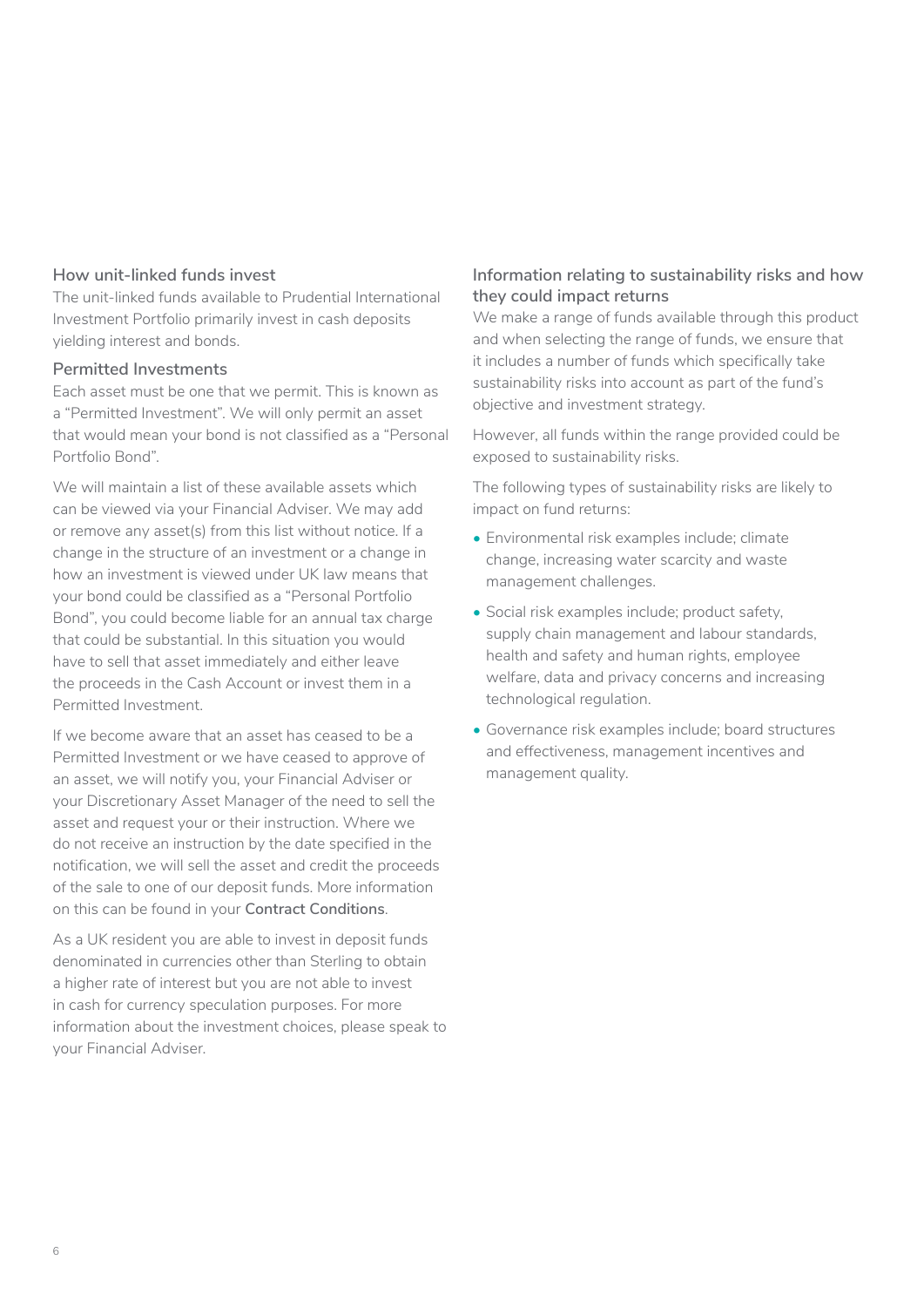#### **How unit-linked funds invest**

The unit-linked funds available to Prudential International Investment Portfolio primarily invest in cash deposits yielding interest and bonds.

#### **Permitted Investments**

Each asset must be one that we permit. This is known as a "Permitted Investment". We will only permit an asset that would mean your bond is not classified as a "Personal Portfolio Bond".

We will maintain a list of these available assets which can be viewed via your Financial Adviser. We may add or remove any asset(s) from this list without notice. If a change in the structure of an investment or a change in how an investment is viewed under UK law means that your bond could be classified as a "Personal Portfolio Bond", you could become liable for an annual tax charge that could be substantial. In this situation you would have to sell that asset immediately and either leave the proceeds in the Cash Account or invest them in a Permitted Investment.

If we become aware that an asset has ceased to be a Permitted Investment or we have ceased to approve of an asset, we will notify you, your Financial Adviser or your Discretionary Asset Manager of the need to sell the asset and request your or their instruction. Where we do not receive an instruction by the date specified in the notification, we will sell the asset and credit the proceeds of the sale to one of our deposit funds. More information on this can be found in your **Contract Conditions**.

As a UK resident you are able to invest in deposit funds denominated in currencies other than Sterling to obtain a higher rate of interest but you are not able to invest in cash for currency speculation purposes. For more information about the investment choices, please speak to your Financial Adviser.

#### **Information relating to sustainability risks and how they could impact returns**

We make a range of funds available through this product and when selecting the range of funds, we ensure that it includes a number of funds which specifically take sustainability risks into account as part of the fund's objective and investment strategy.

However, all funds within the range provided could be exposed to sustainability risks.

The following types of sustainability risks are likely to impact on fund returns:

- Environmental risk examples include; climate change, increasing water scarcity and waste management challenges.
- Social risk examples include; product safety, supply chain management and labour standards, health and safety and human rights, employee welfare, data and privacy concerns and increasing technological regulation.
- Governance risk examples include; board structures and effectiveness, management incentives and management quality.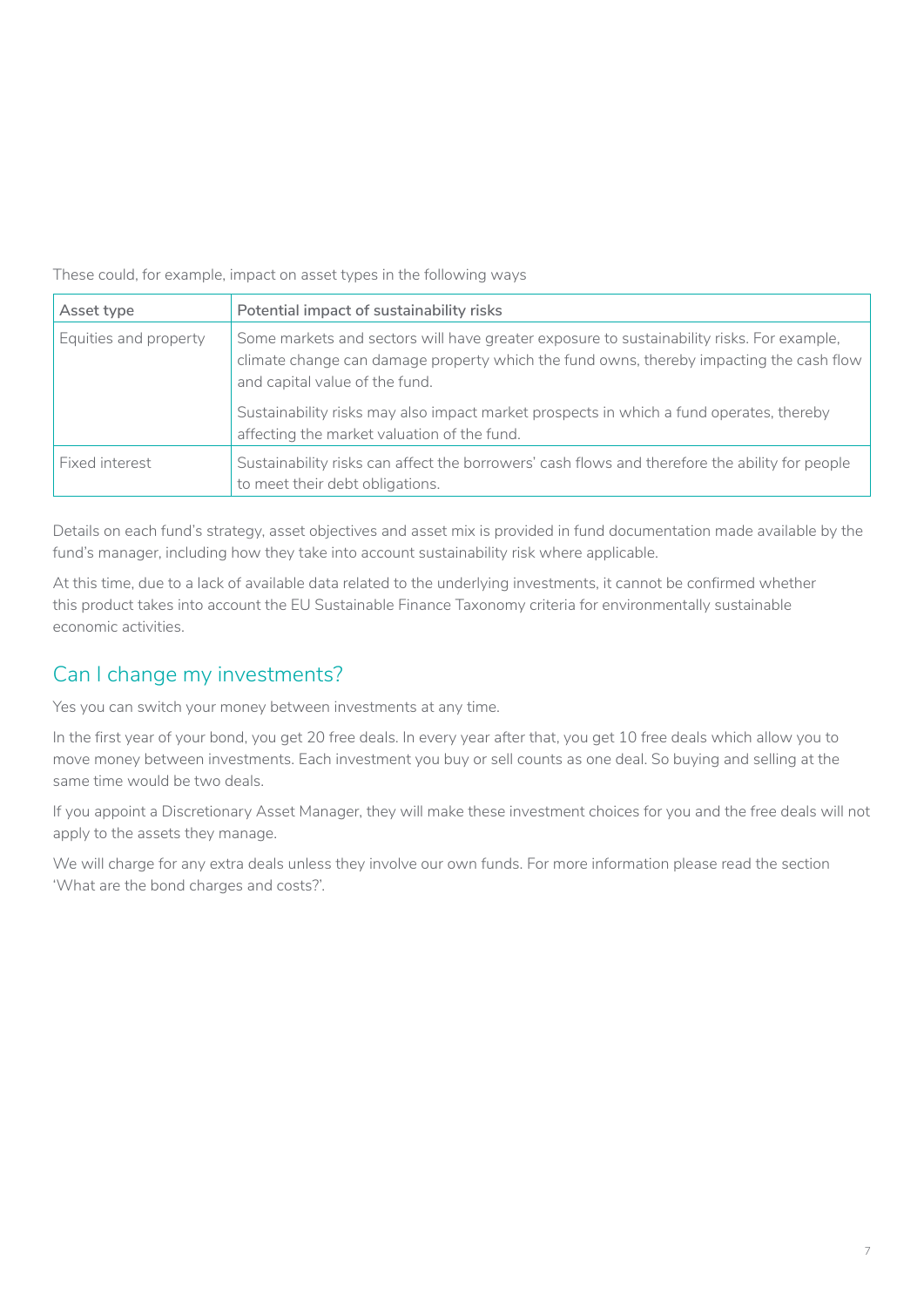<span id="page-6-0"></span>These could, for example, impact on asset types in the following ways

| Asset type            | Potential impact of sustainability risks                                                                                                                                                                               |
|-----------------------|------------------------------------------------------------------------------------------------------------------------------------------------------------------------------------------------------------------------|
| Equities and property | Some markets and sectors will have greater exposure to sustainability risks. For example,<br>climate change can damage property which the fund owns, thereby impacting the cash flow<br>and capital value of the fund. |
|                       | Sustainability risks may also impact market prospects in which a fund operates, thereby<br>affecting the market valuation of the fund.                                                                                 |
| Fixed interest        | Sustainability risks can affect the borrowers' cash flows and therefore the ability for people<br>to meet their debt obligations.                                                                                      |

Details on each fund's strategy, asset objectives and asset mix is provided in fund documentation made available by the fund's manager, including how they take into account sustainability risk where applicable.

At this time, due to a lack of available data related to the underlying investments, it cannot be confirmed whether this product takes into account the EU Sustainable Finance Taxonomy criteria for environmentally sustainable economic activities.

## Can I change my investments?

Yes you can switch your money between investments at any time.

In the first year of your bond, you get 20 free deals. In every year after that, you get 10 free deals which allow you to move money between investments. Each investment you buy or sell counts as one deal. So buying and selling at the same time would be two deals.

If you appoint a Discretionary Asset Manager, they will make these investment choices for you and the free deals will not apply to the assets they manage.

We will charge for any extra deals unless they involve our own funds. For more information please read the section 'What are the bond charges and costs?'.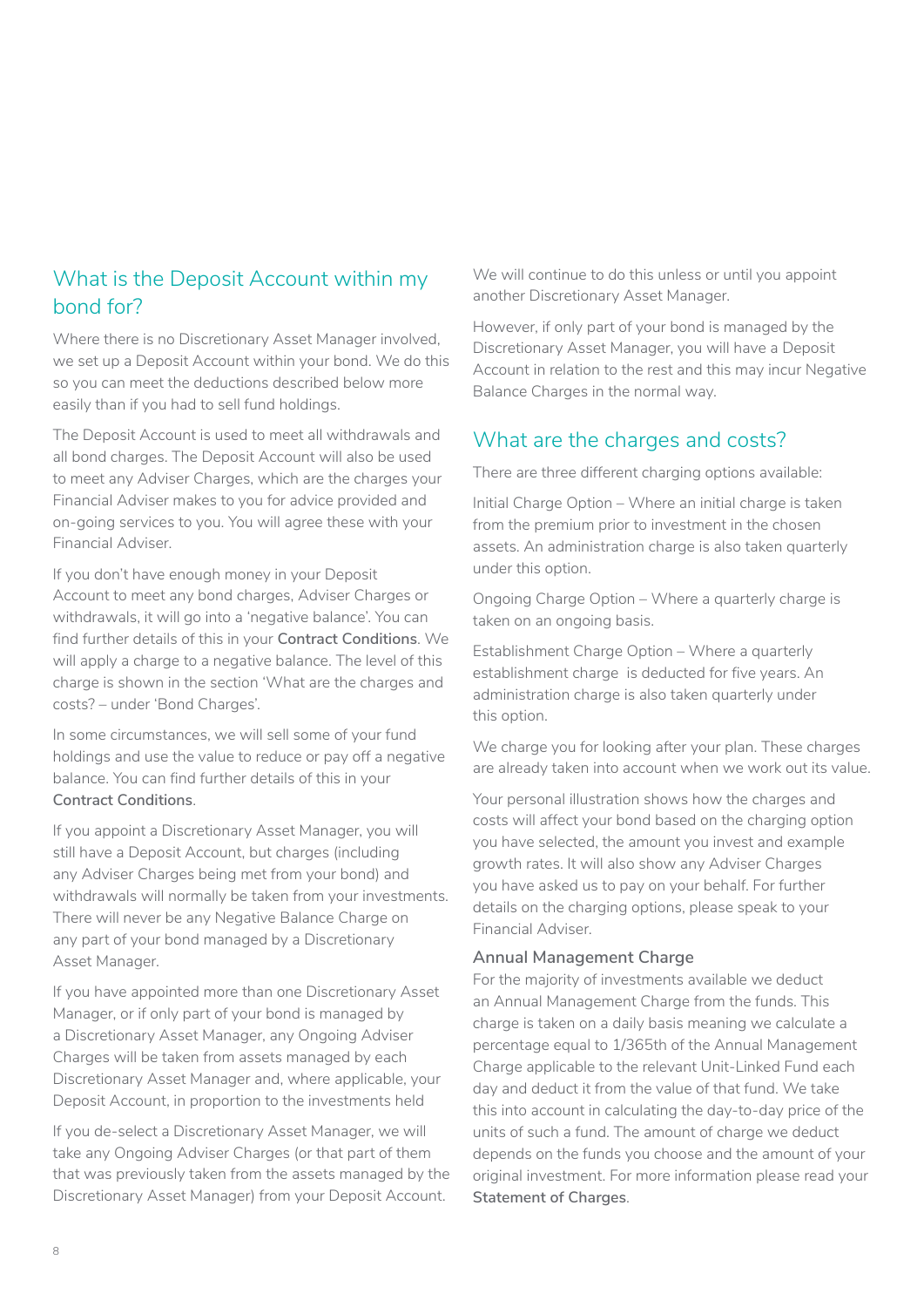## <span id="page-7-0"></span>What is the Deposit Account within my bond for?

Where there is no Discretionary Asset Manager involved, we set up a Deposit Account within your bond. We do this so you can meet the deductions described below more easily than if you had to sell fund holdings.

The Deposit Account is used to meet all withdrawals and all bond charges. The Deposit Account will also be used to meet any Adviser Charges, which are the charges your Financial Adviser makes to you for advice provided and on-going services to you. You will agree these with your Financial Adviser.

If you don't have enough money in your Deposit Account to meet any bond charges, Adviser Charges or withdrawals, it will go into a 'negative balance'. You can find further details of this in your **Contract Conditions**. We will apply a charge to a negative balance. The level of this charge is shown in the section 'What are the charges and costs? – under 'Bond Charges'.

In some circumstances, we will sell some of your fund holdings and use the value to reduce or pay off a negative balance. You can find further details of this in your **Contract Conditions**.

If you appoint a Discretionary Asset Manager, you will still have a Deposit Account, but charges (including any Adviser Charges being met from your bond) and withdrawals will normally be taken from your investments. There will never be any Negative Balance Charge on any part of your bond managed by a Discretionary Asset Manager.

If you have appointed more than one Discretionary Asset Manager, or if only part of your bond is managed by a Discretionary Asset Manager, any Ongoing Adviser Charges will be taken from assets managed by each Discretionary Asset Manager and, where applicable, your Deposit Account, in proportion to the investments held

If you de-select a Discretionary Asset Manager, we will take any Ongoing Adviser Charges (or that part of them that was previously taken from the assets managed by the Discretionary Asset Manager) from your Deposit Account.

We will continue to do this unless or until you appoint another Discretionary Asset Manager.

However, if only part of your bond is managed by the Discretionary Asset Manager, you will have a Deposit Account in relation to the rest and this may incur Negative Balance Charges in the normal way.

## What are the charges and costs?

There are three different charging options available:

Initial Charge Option – Where an initial charge is taken from the premium prior to investment in the chosen assets. An administration charge is also taken quarterly under this option.

Ongoing Charge Option – Where a quarterly charge is taken on an ongoing basis.

Establishment Charge Option – Where a quarterly establishment charge is deducted for five years. An administration charge is also taken quarterly under this option.

We charge you for looking after your plan. These charges are already taken into account when we work out its value.

Your personal illustration shows how the charges and costs will affect your bond based on the charging option you have selected, the amount you invest and example growth rates. It will also show any Adviser Charges you have asked us to pay on your behalf. For further details on the charging options, please speak to your Financial Adviser.

#### **Annual Management Charge**

For the majority of investments available we deduct an Annual Management Charge from the funds. This charge is taken on a daily basis meaning we calculate a percentage equal to 1/365th of the Annual Management Charge applicable to the relevant Unit-Linked Fund each day and deduct it from the value of that fund. We take this into account in calculating the day-to-day price of the units of such a fund. The amount of charge we deduct depends on the funds you choose and the amount of your original investment. For more information please read your **Statement of Charges**.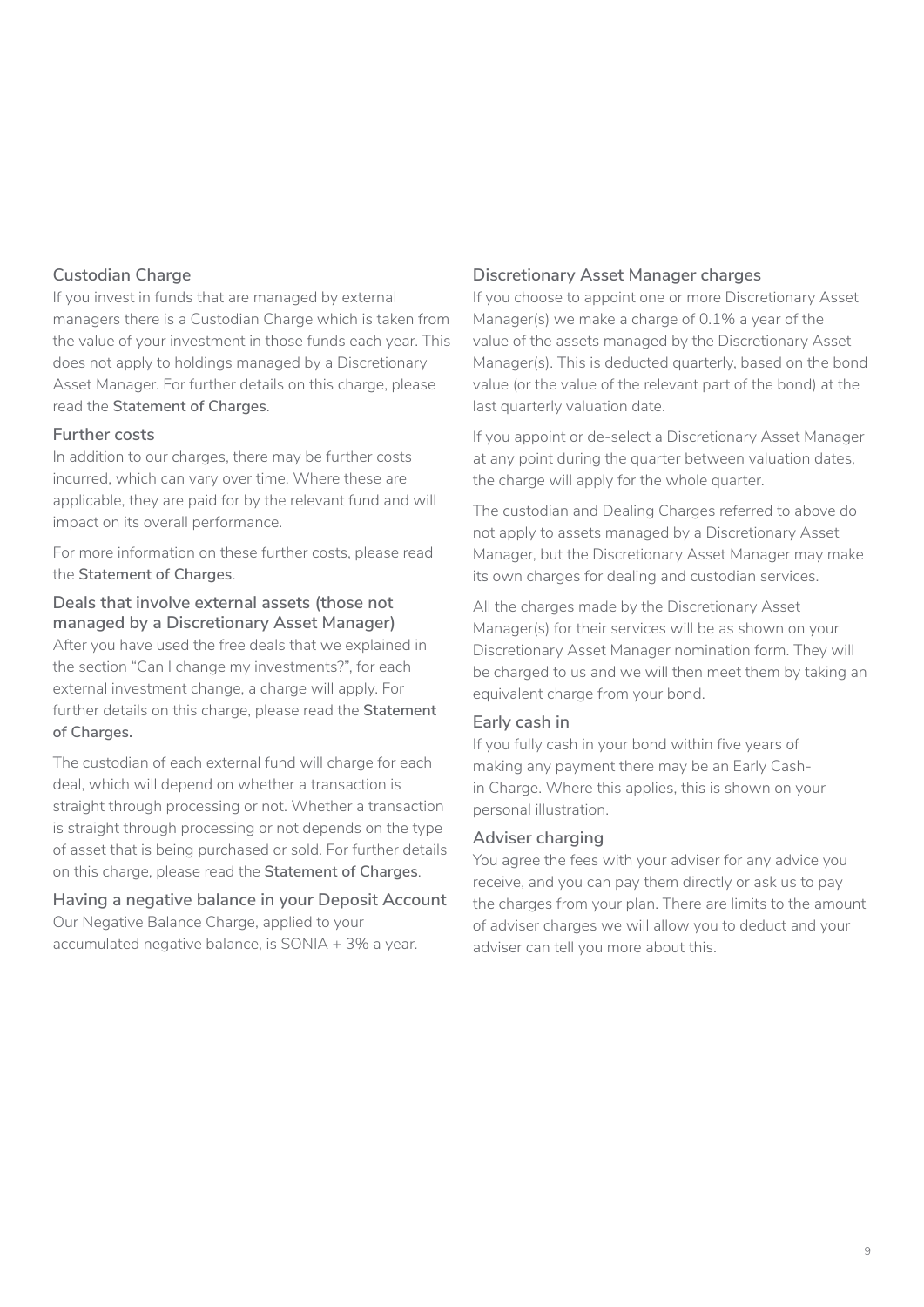#### **Custodian Charge**

If you invest in funds that are managed by external managers there is a Custodian Charge which is taken from the value of your investment in those funds each year. This does not apply to holdings managed by a Discretionary Asset Manager. For further details on this charge, please read the **Statement of Charges**.

#### **Further costs**

In addition to our charges, there may be further costs incurred, which can vary over time. Where these are applicable, they are paid for by the relevant fund and will impact on its overall performance.

For more information on these further costs, please read the **Statement of Charges**.

### **Deals that involve external assets (those not managed by a Discretionary Asset Manager)**

After you have used the free deals that we explained in the section "Can I change my investments?", for each external investment change, a charge will apply. For further details on this charge, please read the **Statement of Charges.**

The custodian of each external fund will charge for each deal, which will depend on whether a transaction is straight through processing or not. Whether a transaction is straight through processing or not depends on the type of asset that is being purchased or sold. For further details on this charge, please read the **Statement of Charges**.

#### **Having a negative balance in your Deposit Account**

Our Negative Balance Charge, applied to your accumulated negative balance, is SONIA + 3% a year.

#### **Discretionary Asset Manager charges**

If you choose to appoint one or more Discretionary Asset Manager(s) we make a charge of 0.1% a year of the value of the assets managed by the Discretionary Asset Manager(s). This is deducted quarterly, based on the bond value (or the value of the relevant part of the bond) at the last quarterly valuation date.

If you appoint or de-select a Discretionary Asset Manager at any point during the quarter between valuation dates, the charge will apply for the whole quarter.

The custodian and Dealing Charges referred to above do not apply to assets managed by a Discretionary Asset Manager, but the Discretionary Asset Manager may make its own charges for dealing and custodian services.

All the charges made by the Discretionary Asset Manager(s) for their services will be as shown on your Discretionary Asset Manager nomination form. They will be charged to us and we will then meet them by taking an equivalent charge from your bond.

#### **Early cash in**

If you fully cash in your bond within five years of making any payment there may be an Early Cashin Charge. Where this applies, this is shown on your personal illustration.

#### **Adviser charging**

You agree the fees with your adviser for any advice you receive, and you can pay them directly or ask us to pay the charges from your plan. There are limits to the amount of adviser charges we will allow you to deduct and your adviser can tell you more about this.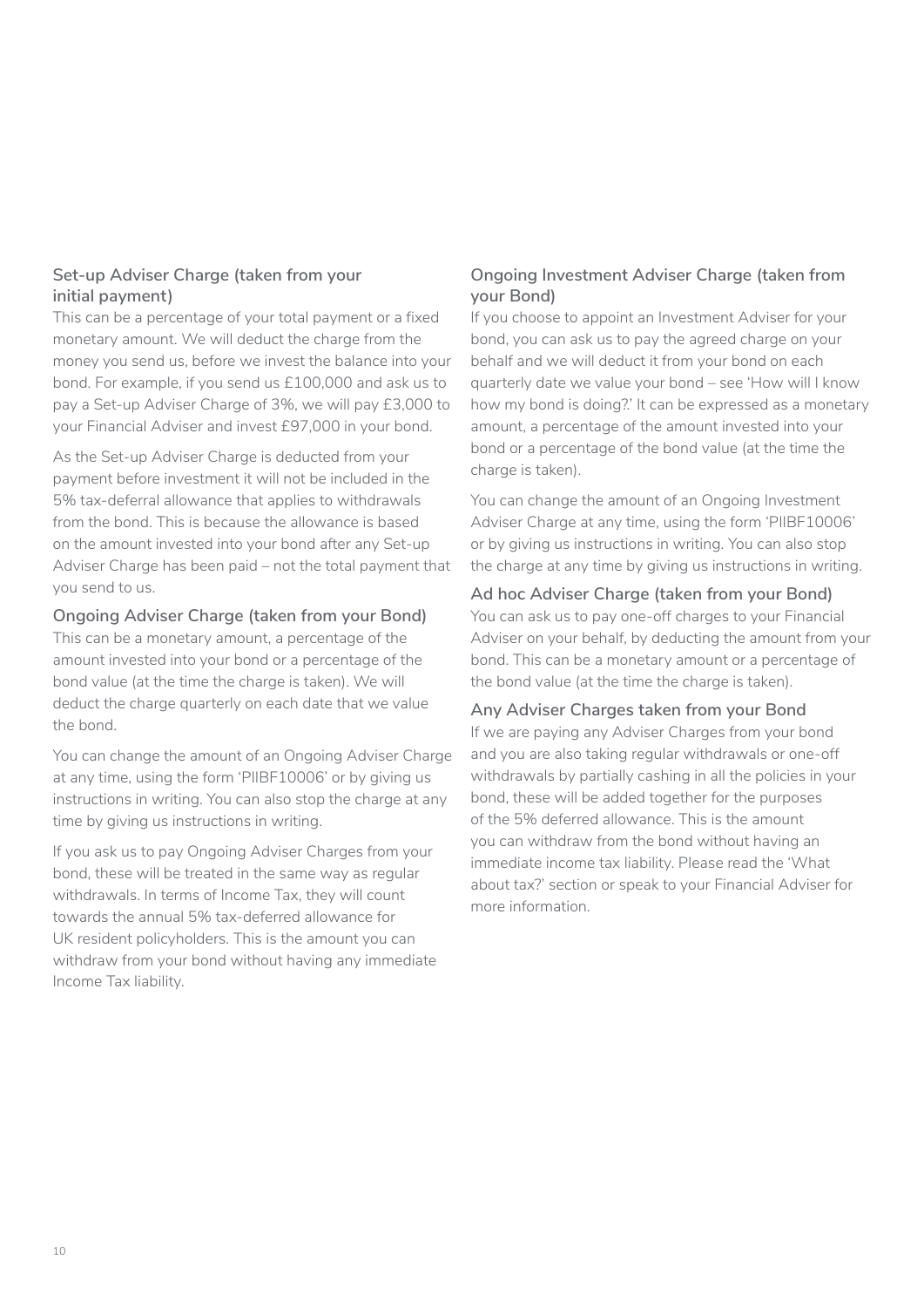#### **Set-up Adviser Charge (taken from your initial payment)**

This can be a percentage of your total payment or a fixed monetary amount. We will deduct the charge from the money you send us, before we invest the balance into your bond. For example, if you send us £100,000 and ask us to pay a Set-up Adviser Charge of 3%, we will pay £3,000 to your Financial Adviser and invest £97,000 in your bond.

As the Set-up Adviser Charge is deducted from your payment before investment it will not be included in the 5% tax-deferral allowance that applies to withdrawals from the bond. This is because the allowance is based on the amount invested into your bond after any Set-up Adviser Charge has been paid – not the total payment that you send to us.

#### **Ongoing Adviser Charge (taken from your Bond)**

This can be a monetary amount, a percentage of the amount invested into your bond or a percentage of the bond value (at the time the charge is taken). We will deduct the charge quarterly on each date that we value the bond.

You can change the amount of an Ongoing Adviser Charge at any time, using the form 'PIIBF10006' or by giving us instructions in writing. You can also stop the charge at any time by giving us instructions in writing.

If you ask us to pay Ongoing Adviser Charges from your bond, these will be treated in the same way as regular withdrawals. In terms of Income Tax, they will count towards the annual 5% tax-deferred allowance for UK resident policyholders. This is the amount you can withdraw from your bond without having any immediate Income Tax liability.

### **Ongoing Investment Adviser Charge (taken from your Bond)**

If you choose to appoint an Investment Adviser for your bond, you can ask us to pay the agreed charge on your behalf and we will deduct it from your bond on each quarterly date we value your bond – see 'How will I know how my bond is doing?.' It can be expressed as a monetary amount, a percentage of the amount invested into your bond or a percentage of the bond value (at the time the charge is taken).

You can change the amount of an Ongoing Investment Adviser Charge at any time, using the form 'PIIBF10006' or by giving us instructions in writing. You can also stop the charge at any time by giving us instructions in writing.

#### **Ad hoc Adviser Charge (taken from your Bond)**

You can ask us to pay one-off charges to your Financial Adviser on your behalf, by deducting the amount from your bond. This can be a monetary amount or a percentage of the bond value (at the time the charge is taken).

#### **Any Adviser Charges taken from your Bond**

If we are paying any Adviser Charges from your bond and you are also taking regular withdrawals or one-off withdrawals by partially cashing in all the policies in your bond, these will be added together for the purposes of the 5% deferred allowance. This is the amount you can withdraw from the bond without having an immediate income tax liability. Please read the 'What about tax?' section or speak to your Financial Adviser for more information.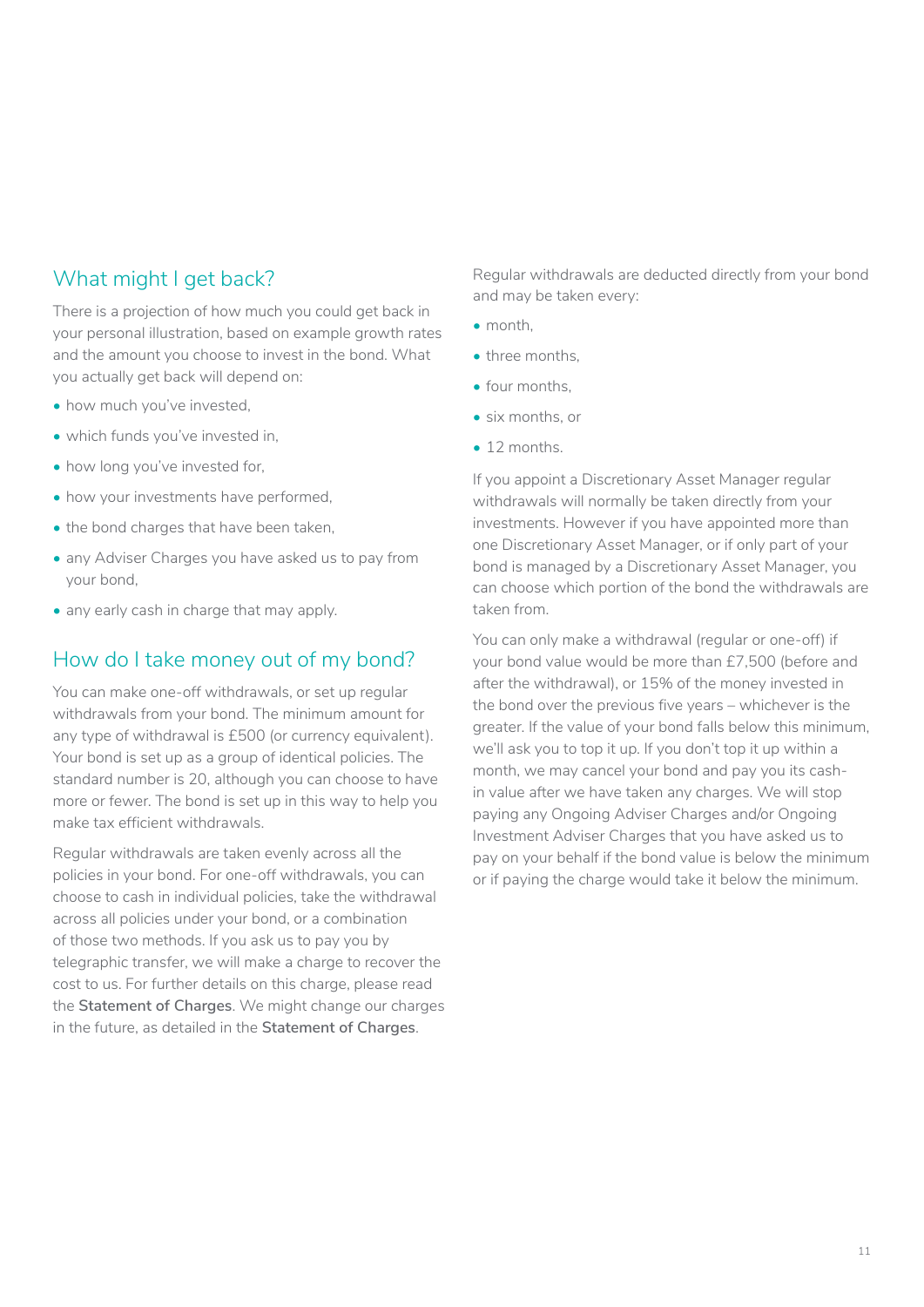## <span id="page-10-0"></span>What might I get back?

There is a projection of how much you could get back in your personal illustration, based on example growth rates and the amount you choose to invest in the bond. What you actually get back will depend on:

- how much you've invested.
- which funds you've invested in,
- how long you've invested for,
- how your investments have performed,
- the bond charges that have been taken,
- any Adviser Charges you have asked us to pay from your bond,
- any early cash in charge that may apply.

## How do I take money out of my bond?

You can make one-off withdrawals, or set up regular withdrawals from your bond. The minimum amount for any type of withdrawal is £500 (or currency equivalent). Your bond is set up as a group of identical policies. The standard number is 20, although you can choose to have more or fewer. The bond is set up in this way to help you make tax efficient withdrawals.

Regular withdrawals are taken evenly across all the policies in your bond. For one-off withdrawals, you can choose to cash in individual policies, take the withdrawal across all policies under your bond, or a combination of those two methods. If you ask us to pay you by telegraphic transfer, we will make a charge to recover the cost to us. For further details on this charge, please read the **Statement of Charges**. We might change our charges in the future, as detailed in the **Statement of Charges**.

Regular withdrawals are deducted directly from your bond and may be taken every:

- month,
- three months.
- four months,
- six months, or
- 12 months.

If you appoint a Discretionary Asset Manager regular withdrawals will normally be taken directly from your investments. However if you have appointed more than one Discretionary Asset Manager, or if only part of your bond is managed by a Discretionary Asset Manager, you can choose which portion of the bond the withdrawals are taken from.

You can only make a withdrawal (regular or one-off) if your bond value would be more than £7,500 (before and after the withdrawal), or 15% of the money invested in the bond over the previous five years – whichever is the greater. If the value of your bond falls below this minimum, we'll ask you to top it up. If you don't top it up within a month, we may cancel your bond and pay you its cashin value after we have taken any charges. We will stop paying any Ongoing Adviser Charges and/or Ongoing Investment Adviser Charges that you have asked us to pay on your behalf if the bond value is below the minimum or if paying the charge would take it below the minimum.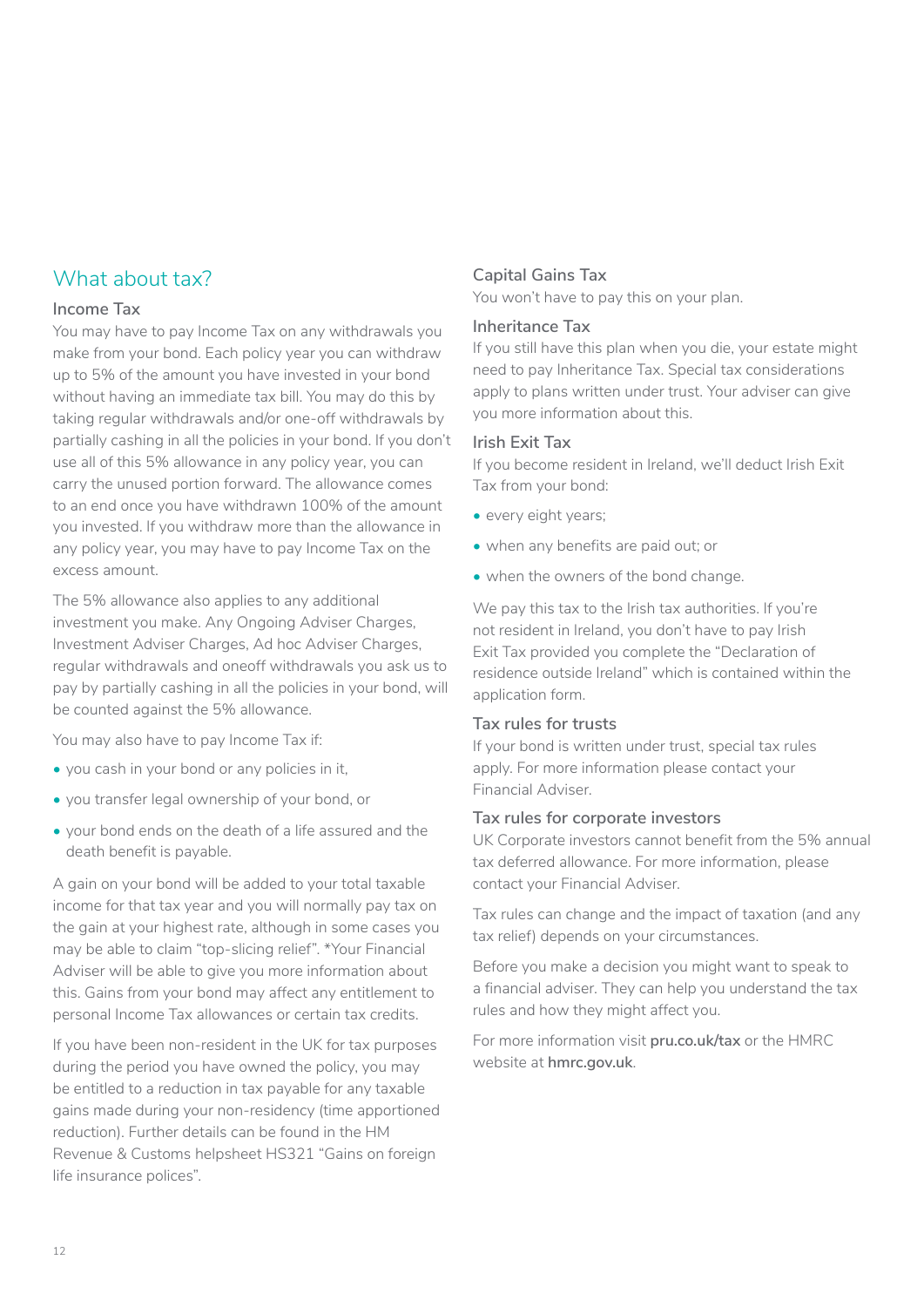## <span id="page-11-0"></span>What about tax?

#### **Income Tax**

You may have to pay Income Tax on any withdrawals you make from your bond. Each policy year you can withdraw up to 5% of the amount you have invested in your bond without having an immediate tax bill. You may do this by taking regular withdrawals and/or one-off withdrawals by partially cashing in all the policies in your bond. If you don't use all of this 5% allowance in any policy year, you can carry the unused portion forward. The allowance comes to an end once you have withdrawn 100% of the amount you invested. If you withdraw more than the allowance in any policy year, you may have to pay Income Tax on the excess amount.

The 5% allowance also applies to any additional investment you make. Any Ongoing Adviser Charges, Investment Adviser Charges, Ad hoc Adviser Charges, regular withdrawals and oneoff withdrawals you ask us to pay by partially cashing in all the policies in your bond, will be counted against the 5% allowance.

You may also have to pay Income Tax if:

- you cash in your bond or any policies in it,
- you transfer legal ownership of your bond, or
- your bond ends on the death of a life assured and the death benefit is payable.

A gain on your bond will be added to your total taxable income for that tax year and you will normally pay tax on the gain at your highest rate, although in some cases you may be able to claim "top-slicing relief". \*Your Financial Adviser will be able to give you more information about this. Gains from your bond may affect any entitlement to personal Income Tax allowances or certain tax credits.

If you have been non-resident in the UK for tax purposes during the period you have owned the policy, you may be entitled to a reduction in tax payable for any taxable gains made during your non-residency (time apportioned reduction). Further details can be found in the HM Revenue & Customs helpsheet HS321 "Gains on foreign life insurance polices".

#### **Capital Gains Tax**

You won't have to pay this on your plan.

#### **Inheritance Tax**

If you still have this plan when you die, your estate might need to pay Inheritance Tax. Special tax considerations apply to plans written under trust. Your adviser can give you more information about this.

#### **Irish Exit Tax**

If you become resident in Ireland, we'll deduct Irish Exit Tax from your bond:

- every eight years;
- when any benefits are paid out; or
- when the owners of the bond change.

We pay this tax to the Irish tax authorities. If you're not resident in Ireland, you don't have to pay Irish Exit Tax provided you complete the "Declaration of residence outside Ireland" which is contained within the application form.

#### **Tax rules for trusts**

If your bond is written under trust, special tax rules apply. For more information please contact your Financial Adviser.

#### **Tax rules for corporate investors**

UK Corporate investors cannot benefit from the 5% annual tax deferred allowance. For more information, please contact your Financial Adviser.

Tax rules can change and the impact of taxation (and any tax relief) depends on your circumstances.

Before you make a decision you might want to speak to a financial adviser. They can help you understand the tax rules and how they might affect you.

For more information visit **pru.co.uk/tax** or the HMRC website at **hmrc.gov.uk**.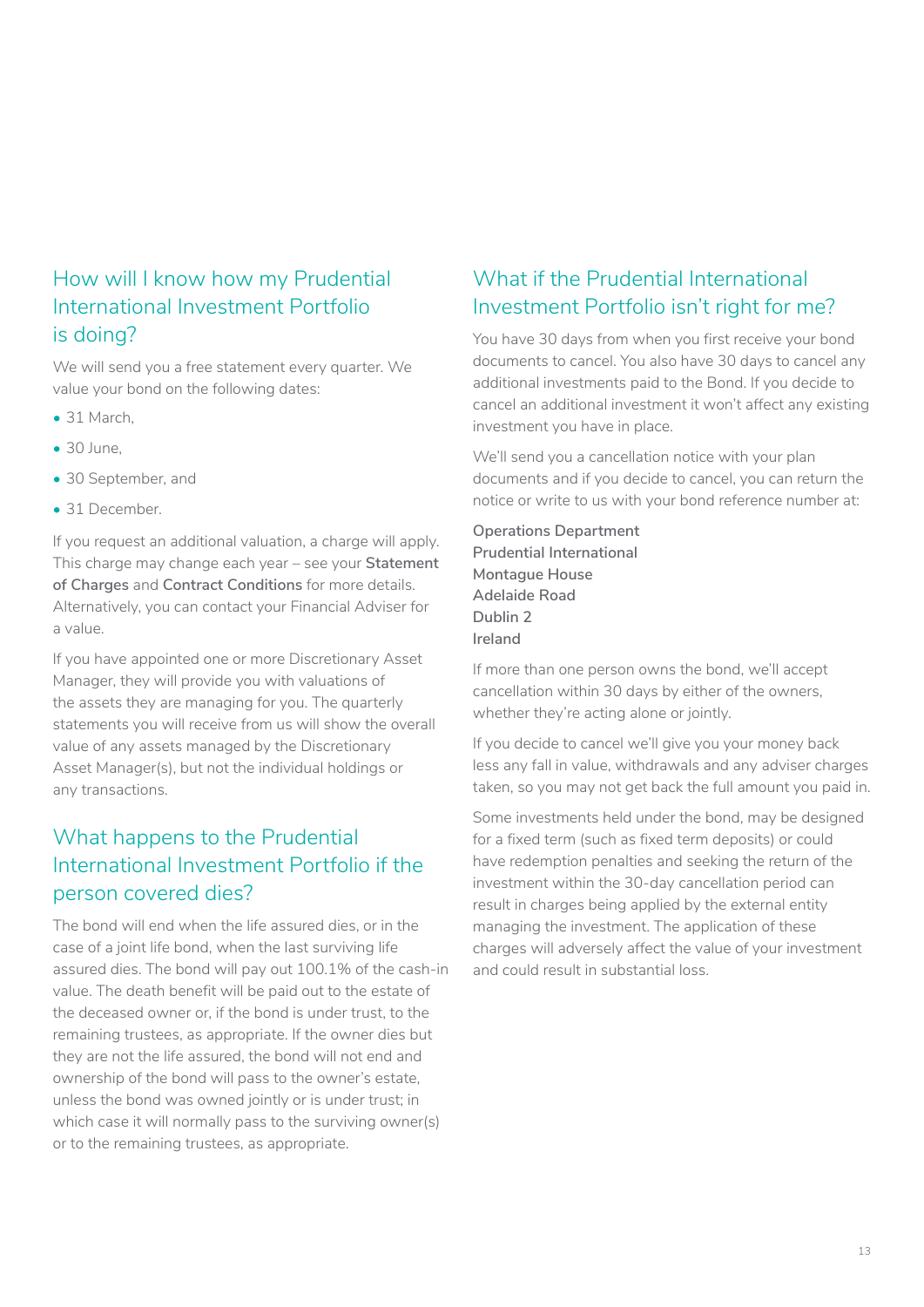## <span id="page-12-0"></span>How will I know how my Prudential International Investment Portfolio is doing?

We will send you a free statement every quarter. We value your bond on the following dates:

- 31 March.
- 30 June,
- 30 September, and
- 31 December.

If you request an additional valuation, a charge will apply. This charge may change each year – see your **Statement of Charges** and **Contract Conditions** for more details. Alternatively, you can contact your Financial Adviser for a value.

If you have appointed one or more Discretionary Asset Manager, they will provide you with valuations of the assets they are managing for you. The quarterly statements you will receive from us will show the overall value of any assets managed by the Discretionary Asset Manager(s), but not the individual holdings or any transactions.

## What happens to the Prudential International Investment Portfolio if the person covered dies?

The bond will end when the life assured dies, or in the case of a joint life bond, when the last surviving life assured dies. The bond will pay out 100.1% of the cash-in value. The death benefit will be paid out to the estate of the deceased owner or, if the bond is under trust, to the remaining trustees, as appropriate. If the owner dies but they are not the life assured, the bond will not end and ownership of the bond will pass to the owner's estate, unless the bond was owned jointly or is under trust; in which case it will normally pass to the surviving owner(s) or to the remaining trustees, as appropriate.

## What if the Prudential International Investment Portfolio isn't right for me?

You have 30 days from when you first receive your bond documents to cancel. You also have 30 days to cancel any additional investments paid to the Bond. If you decide to cancel an additional investment it won't affect any existing investment you have in place.

We'll send you a cancellation notice with your plan documents and if you decide to cancel, you can return the notice or write to us with your bond reference number at:

**Operations Department Prudential International Montague House Adelaide Road Dublin 2 Ireland**

If more than one person owns the bond, we'll accept cancellation within 30 days by either of the owners, whether they're acting alone or jointly.

If you decide to cancel we'll give you your money back less any fall in value, withdrawals and any adviser charges taken, so you may not get back the full amount you paid in.

Some investments held under the bond, may be designed for a fixed term (such as fixed term deposits) or could have redemption penalties and seeking the return of the investment within the 30-day cancellation period can result in charges being applied by the external entity managing the investment. The application of these charges will adversely affect the value of your investment and could result in substantial loss.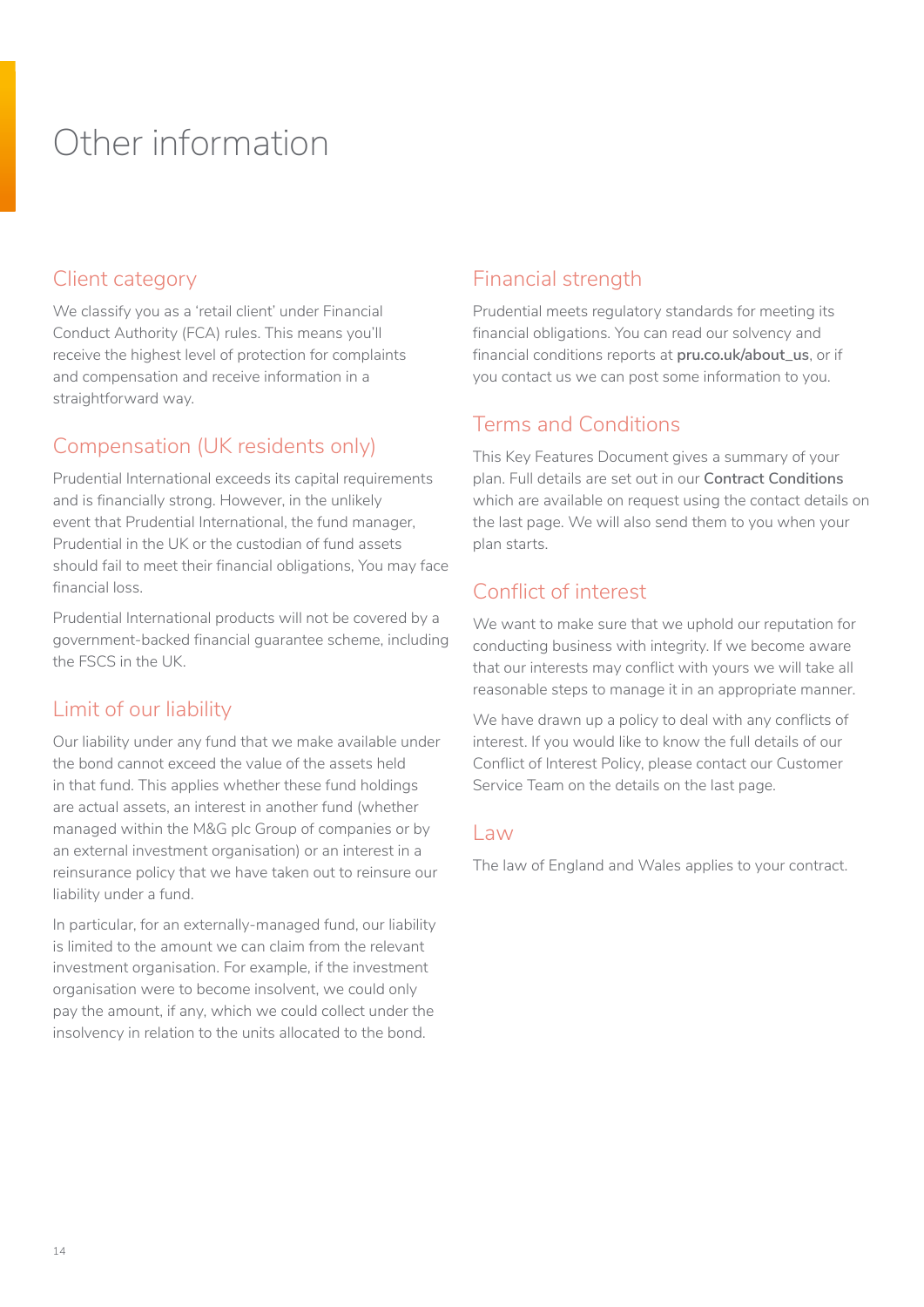# <span id="page-13-0"></span>Other information

## Client category

We classify you as a 'retail client' under Financial Conduct Authority (FCA) rules. This means you'll receive the highest level of protection for complaints and compensation and receive information in a straightforward way.

## Compensation (UK residents only)

Prudential International exceeds its capital requirements and is financially strong. However, in the unlikely event that Prudential International, the fund manager, Prudential in the UK or the custodian of fund assets should fail to meet their financial obligations, You may face financial loss.

Prudential International products will not be covered by a government-backed financial guarantee scheme, including the FSCS in the UK.

## Limit of our liability

Our liability under any fund that we make available under the bond cannot exceed the value of the assets held in that fund. This applies whether these fund holdings are actual assets, an interest in another fund (whether managed within the M&G plc Group of companies or by an external investment organisation) or an interest in a reinsurance policy that we have taken out to reinsure our liability under a fund.

In particular, for an externally-managed fund, our liability is limited to the amount we can claim from the relevant investment organisation. For example, if the investment organisation were to become insolvent, we could only pay the amount, if any, which we could collect under the insolvency in relation to the units allocated to the bond.

## Financial strength

Prudential meets regulatory standards for meeting its financial obligations. You can read our solvency and financial conditions reports at **pru.co.uk/about\_us**, or if you contact us we can post some information to you.

## Terms and Conditions

This Key Features Document gives a summary of your plan. Full details are set out in our **Contract Conditions** which are available on request using the contact details on the last page. We will also send them to you when your plan starts.

## Conflict of interest

We want to make sure that we uphold our reputation for conducting business with integrity. If we become aware that our interests may conflict with yours we will take all reasonable steps to manage it in an appropriate manner.

We have drawn up a policy to deal with any conflicts of interest. If you would like to know the full details of our Conflict of Interest Policy, please contact our Customer Service Team on the details on the last page.

## Law

The law of England and Wales applies to your contract.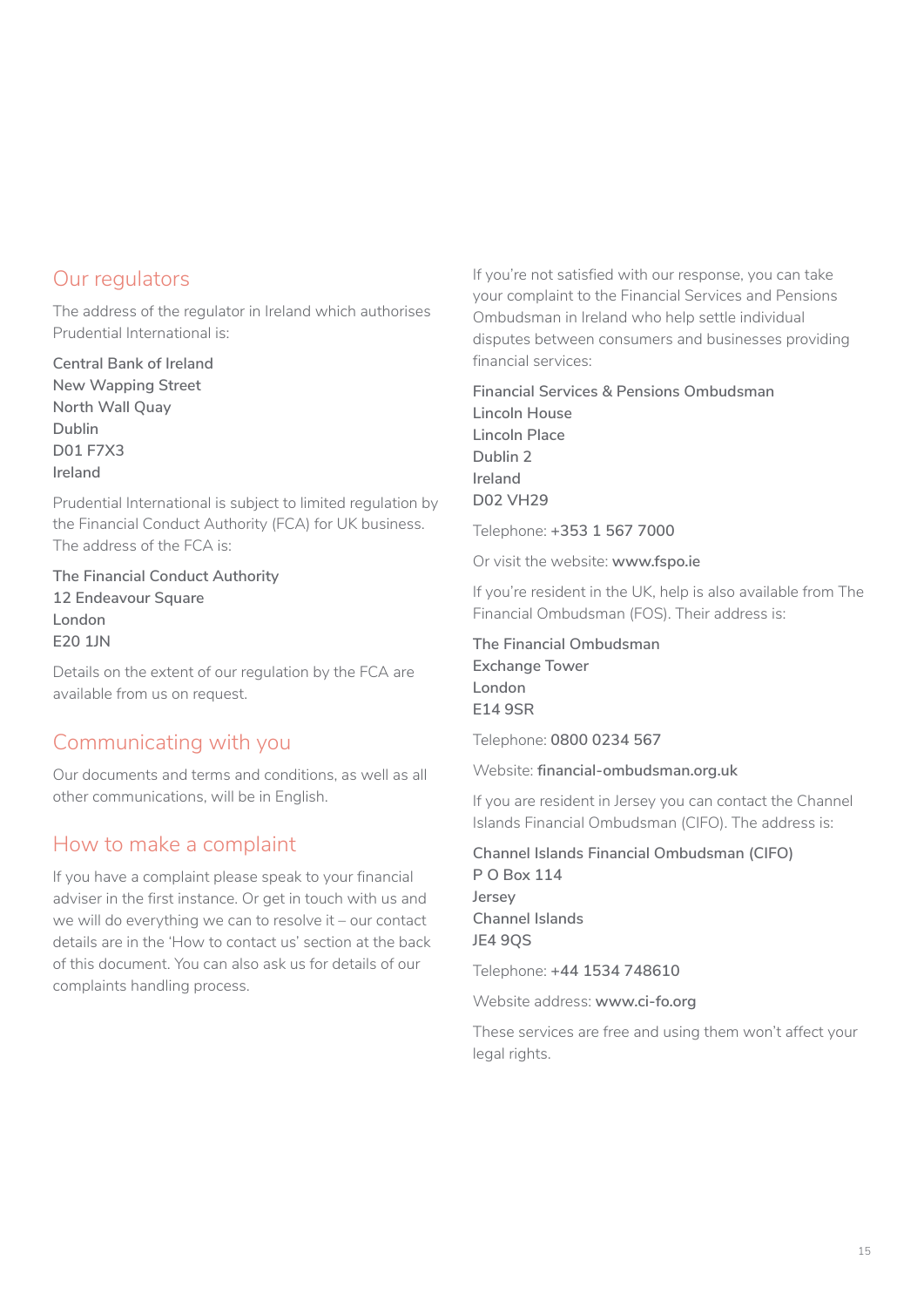## Our regulators

The address of the regulator in Ireland which authorises Prudential International is:

**Central Bank of Ireland New Wapping Street North Wall Quay Dublin D01 F7X3 Ireland**

Prudential International is subject to limited regulation by the Financial Conduct Authority (FCA) for UK business. The address of the FCA is:

**The Financial Conduct Authority 12 Endeavour Square London E20 1JN**

Details on the extent of our regulation by the FCA are available from us on request.

## Communicating with you

Our documents and terms and conditions, as well as all other communications, will be in English.

## How to make a complaint

If you have a complaint please speak to your financial adviser in the first instance. Or get in touch with us and we will do everything we can to resolve it – our contact details are in the 'How to contact us' section at the back of this document. You can also ask us for details of our complaints handling process.

If you're not satisfied with our response, you can take your complaint to the Financial Services and Pensions Ombudsman in Ireland who help settle individual disputes between consumers and businesses providing financial services:

**Financial Services & Pensions Ombudsman Lincoln House Lincoln Place Dublin 2 Ireland D02 VH29**

Telephone: **+353 1 567 7000**

Or visit the website: **www.fspo.ie**

If you're resident in the UK, help is also available from The Financial Ombudsman (FOS). Their address is:

**The Financial Ombudsman Exchange Tower London E14 9SR**

Telephone: **0800 0234 567**

Website: **financial-ombudsman.org.uk**

If you are resident in Jersey you can contact the Channel Islands Financial Ombudsman (CIFO). The address is:

**Channel Islands Financial Ombudsman (CIFO) P O Box 114 Jersey Channel Islands JE4 9QS**

Telephone: **+44 1534 748610**

Website address: **www.ci-fo.org**

These services are free and using them won't affect your legal rights.